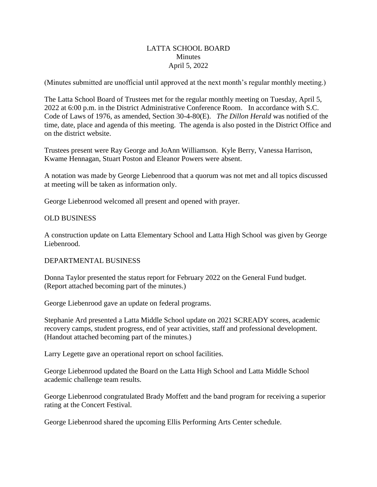## LATTA SCHOOL BOARD **Minutes** April 5, 2022

(Minutes submitted are unofficial until approved at the next month's regular monthly meeting.)

The Latta School Board of Trustees met for the regular monthly meeting on Tuesday, April 5, 2022 at 6:00 p.m. in the District Administrative Conference Room. In accordance with S.C. Code of Laws of 1976, as amended, Section 30-4-80(E). *The Dillon Herald* was notified of the time, date, place and agenda of this meeting. The agenda is also posted in the District Office and on the district website.

Trustees present were Ray George and JoAnn Williamson. Kyle Berry, Vanessa Harrison, Kwame Hennagan, Stuart Poston and Eleanor Powers were absent.

A notation was made by George Liebenrood that a quorum was not met and all topics discussed at meeting will be taken as information only.

George Liebenrood welcomed all present and opened with prayer.

## OLD BUSINESS

A construction update on Latta Elementary School and Latta High School was given by George Liebenrood.

## DEPARTMENTAL BUSINESS

Donna Taylor presented the status report for February 2022 on the General Fund budget. (Report attached becoming part of the minutes.)

George Liebenrood gave an update on federal programs.

Stephanie Ard presented a Latta Middle School update on 2021 SCREADY scores, academic recovery camps, student progress, end of year activities, staff and professional development. (Handout attached becoming part of the minutes.)

Larry Legette gave an operational report on school facilities.

George Liebenrood updated the Board on the Latta High School and Latta Middle School academic challenge team results.

George Liebenrood congratulated Brady Moffett and the band program for receiving a superior rating at the Concert Festival.

George Liebenrood shared the upcoming Ellis Performing Arts Center schedule.